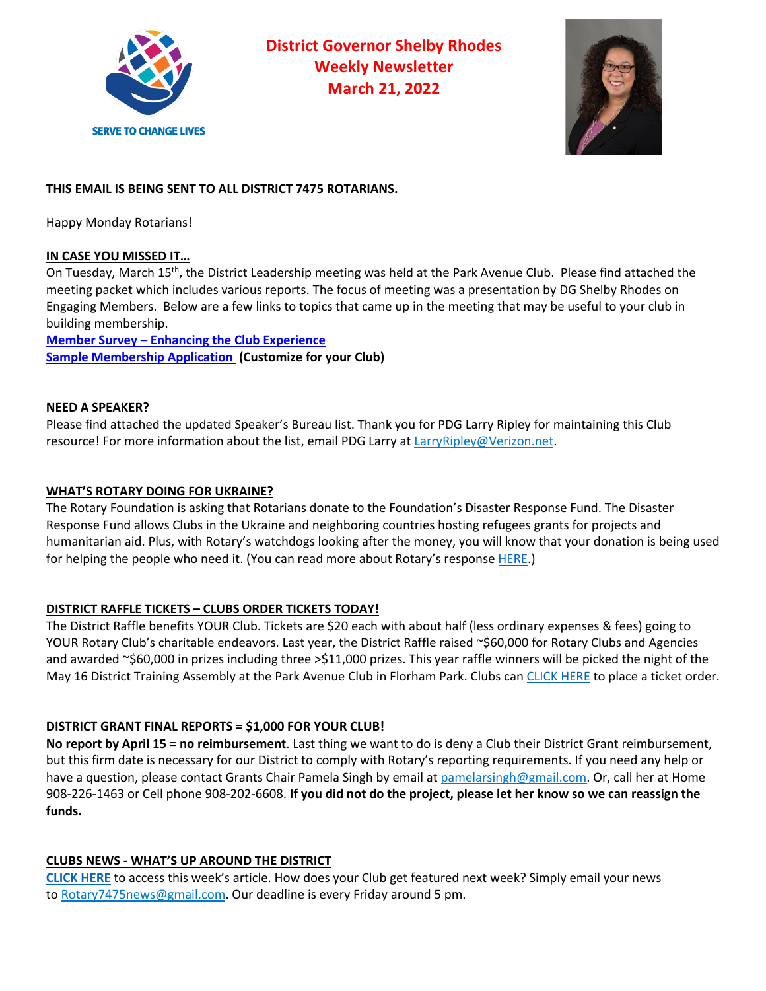

**District Governor Shelby Rhodes Weekly Newsletter March 21, 2022**



# **THIS EMAIL IS BEING SENT TO ALL DISTRICT 7475 ROTARIANS.**

Happy Monday Rotarians!

## **IN CASE YOU MISSED IT…**

On Tuesday, March 15<sup>th</sup>, the District Leadership meeting was held at the Park Avenue Club. Please find attached the meeting packet which includes various reports. The focus of meeting was a presentation by DG Shelby Rhodes on Engaging Members. Below are a few links to topics that came up in the meeting that may be useful to your club in building membership.

**Member Survey – Enhancing the Club Experience Sample Membership Application (Customize for your Club)**

### **NEED A SPEAKER?**

Please find attached the updated Speaker's Bureau list. Thank you for PDG Larry Ripley for maintaining this Club resource! For more information about the list, email PDG Larry at LarryRipley@Verizon.net.

## **WHAT'S ROTARY DOING FOR UKRAINE?**

The Rotary Foundation is asking that Rotarians donate to the Foundation's Disaster Response Fund. The Disaster Response Fund allows Clubs in the Ukraine and neighboring countries hosting refugees grants for projects and humanitarian aid. Plus, with Rotary's watchdogs looking after the money, you will know that your donation is being used for helping the people who need it. (You can read more about Rotary's response HERE.)

## **DISTRICT RAFFLE TICKETS – CLUBS ORDER TICKETS TODAY!**

The District Raffle benefits YOUR Club. Tickets are \$20 each with about half (less ordinary expenses & fees) going to YOUR Rotary Club's charitable endeavors. Last year, the District Raffle raised ~\$60,000 for Rotary Clubs and Agencies and awarded ~\$60,000 in prizes including three >\$11,000 prizes. This year raffle winners will be picked the night of the May 16 District Training Assembly at the Park Avenue Club in Florham Park. Clubs can CLICK HERE to place a ticket order.

## **DISTRICT GRANT FINAL REPORTS = \$1,000 FOR YOUR CLUB!**

**No report by April 15 = no reimbursement**. Last thing we want to do is deny a Club their District Grant reimbursement, but this firm date is necessary for our District to comply with Rotary's reporting requirements. If you need any help or have a question, please contact Grants Chair Pamela Singh by email at pamelarsingh@gmail.com. Or, call her at Home 908-226-1463 or Cell phone 908-202-6608. **If you did not do the project, please let her know so we can reassign the funds.**

## **CLUBS NEWS - WHAT'S UP AROUND THE DISTRICT**

**CLICK HERE** to access this week's article. How does your Club get featured next week? Simply email your news to Rotary7475news@gmail.com. Our deadline is every Friday around 5 pm.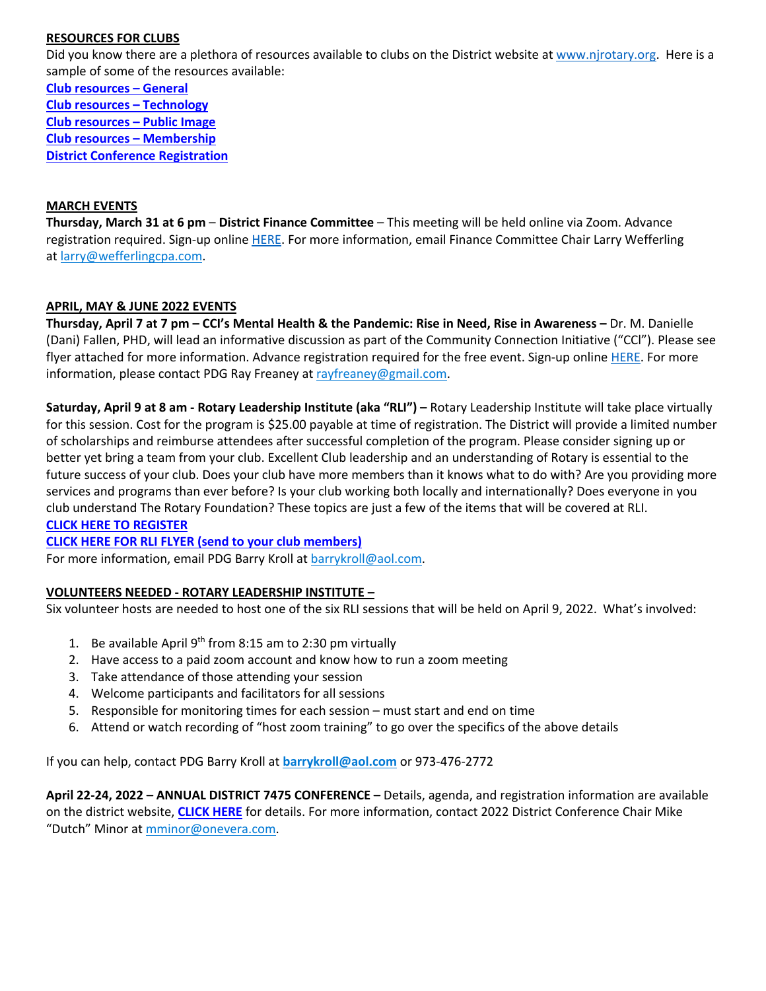#### **RESOURCES FOR CLUBS**

Did you know there are a plethora of resources available to clubs on the District website at www.njrotary.org. Here is a sample of some of the resources available:

**Club resources – General Club resources – Technology Club resources – Public Image Club resources – Membership District Conference Registration**

#### **MARCH EVENTS**

**Thursday, March 31 at 6 pm** – **District Finance Committee** – This meeting will be held online via Zoom. Advance registration required. Sign-up online HERE. For more information, email Finance Committee Chair Larry Wefferling at larry@wefferlingcpa.com.

### **APRIL, MAY & JUNE 2022 EVENTS**

**Thursday, April 7 at 7 pm – CCI's Mental Health & the Pandemic: Rise in Need, Rise in Awareness –** Dr. M. Danielle (Dani) Fallen, PHD, will lead an informative discussion as part of the Community Connection Initiative ("CCl"). Please see flyer attached for more information. Advance registration required for the free event. Sign-up online HERE. For more information, please contact PDG Ray Freaney at rayfreaney@gmail.com.

**Saturday, April 9 at 8 am - Rotary Leadership Institute (aka "RLI") –** Rotary Leadership Institute will take place virtually for this session. Cost for the program is \$25.00 payable at time of registration. The District will provide a limited number of scholarships and reimburse attendees after successful completion of the program. Please consider signing up or better yet bring a team from your club. Excellent Club leadership and an understanding of Rotary is essential to the future success of your club. Does your club have more members than it knows what to do with? Are you providing more services and programs than ever before? Is your club working both locally and internationally? Does everyone in you club understand The Rotary Foundation? These topics are just a few of the items that will be covered at RLI. **CLICK HERE TO REGISTER**

**CLICK HERE FOR RLI FLYER (send to your club members)**

For more information, email PDG Barry Kroll at barrykroll@aol.com.

### **VOLUNTEERS NEEDED - ROTARY LEADERSHIP INSTITUTE –**

Six volunteer hosts are needed to host one of the six RLI sessions that will be held on April 9, 2022. What's involved:

- 1. Be available April  $9<sup>th</sup>$  from 8:15 am to 2:30 pm virtually
- 2. Have access to a paid zoom account and know how to run a zoom meeting
- 3. Take attendance of those attending your session
- 4. Welcome participants and facilitators for all sessions
- 5. Responsible for monitoring times for each session must start and end on time
- 6. Attend or watch recording of "host zoom training" to go over the specifics of the above details

If you can help, contact PDG Barry Kroll at **barrykroll@aol.com** or 973-476-2772

**April 22-24, 2022 – ANNUAL DISTRICT 7475 CONFERENCE –** Details, agenda, and registration information are available on the district website, **CLICK HERE** for details. For more information, contact 2022 District Conference Chair Mike "Dutch" Minor at mminor@onevera.com.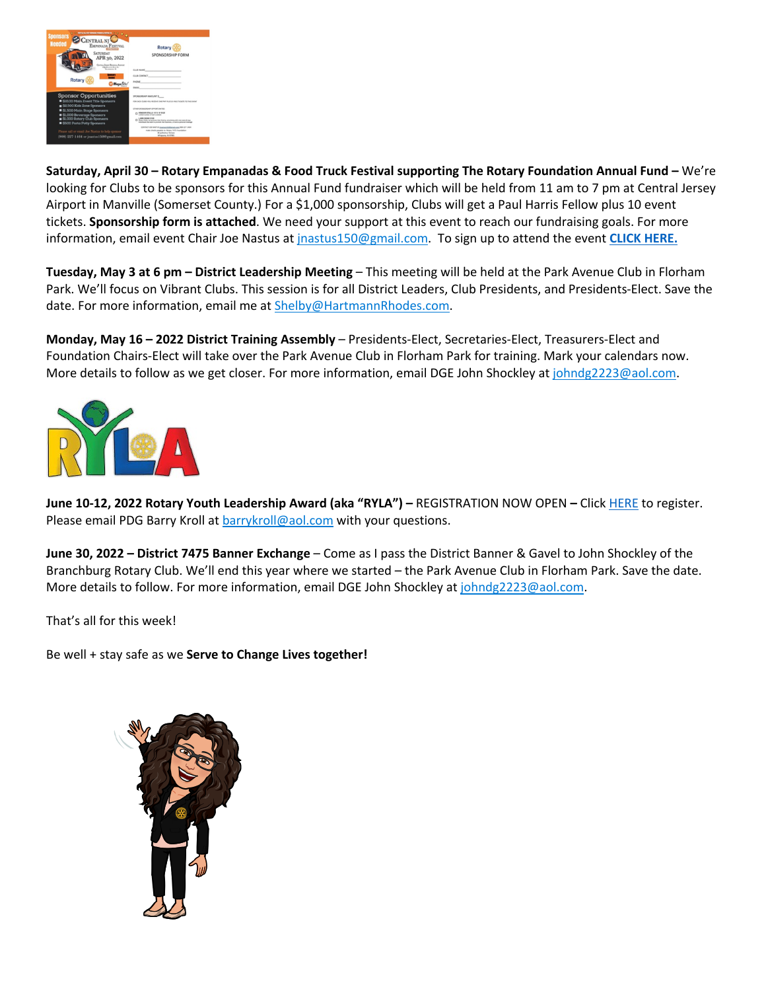

**Saturday, April 30 – Rotary Empanadas & Food Truck Festival supporting The Rotary Foundation Annual Fund –** We're looking for Clubs to be sponsors for this Annual Fund fundraiser which will be held from 11 am to 7 pm at Central Jersey Airport in Manville (Somerset County.) For a \$1,000 sponsorship, Clubs will get a Paul Harris Fellow plus 10 event tickets. **Sponsorship form is attached**. We need your support at this event to reach our fundraising goals. For more information, email event Chair Joe Nastus at jnastus150@gmail.com. To sign up to attend the event **CLICK HERE.**

**Tuesday, May 3 at 6 pm – District Leadership Meeting** – This meeting will be held at the Park Avenue Club in Florham Park. We'll focus on Vibrant Clubs. This session is for all District Leaders, Club Presidents, and Presidents-Elect. Save the date. For more information, email me at Shelby@HartmannRhodes.com.

**Monday, May 16 – 2022 District Training Assembly** – Presidents-Elect, Secretaries-Elect, Treasurers-Elect and Foundation Chairs-Elect will take over the Park Avenue Club in Florham Park for training. Mark your calendars now. More details to follow as we get closer. For more information, email DGE John Shockley at johndg2223@aol.com.



**June 10-12, 2022 Rotary Youth Leadership Award (aka "RYLA") –** REGISTRATION NOW OPEN **–** Click HERE to register. Please email PDG Barry Kroll at **barrykroll@aol.com** with your questions.

**June 30, 2022 – District 7475 Banner Exchange** – Come as I pass the District Banner & Gavel to John Shockley of the Branchburg Rotary Club. We'll end this year where we started – the Park Avenue Club in Florham Park. Save the date. More details to follow. For more information, email DGE John Shockley at johndg2223@aol.com.

That's all for this week!

Be well + stay safe as we **Serve to Change Lives together!**